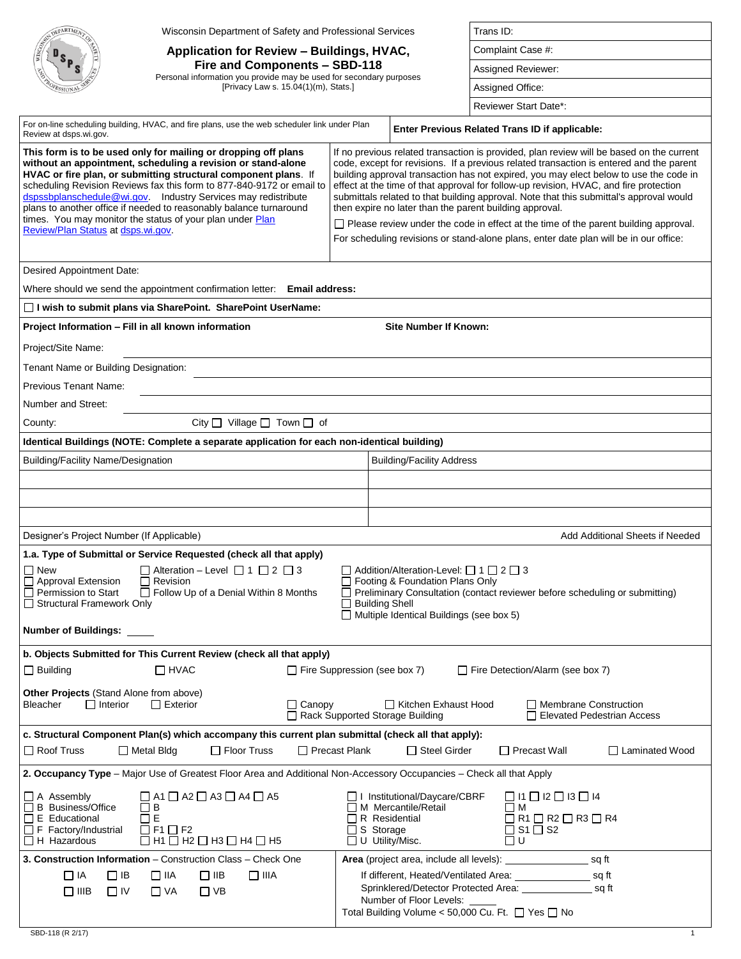|                                                                                                                                                                                                                                                                                                                                                                                                                                                                                                                      | Wisconsin Department of Safety and Professional Services                                                                                                 |                                     | Trans ID:                                                                                                                                                                                                                                                                                                                                                                                                                                                                                                                                                                                                                                                                                                          |                                                                                                                                                                      |                                 |  |
|----------------------------------------------------------------------------------------------------------------------------------------------------------------------------------------------------------------------------------------------------------------------------------------------------------------------------------------------------------------------------------------------------------------------------------------------------------------------------------------------------------------------|----------------------------------------------------------------------------------------------------------------------------------------------------------|-------------------------------------|--------------------------------------------------------------------------------------------------------------------------------------------------------------------------------------------------------------------------------------------------------------------------------------------------------------------------------------------------------------------------------------------------------------------------------------------------------------------------------------------------------------------------------------------------------------------------------------------------------------------------------------------------------------------------------------------------------------------|----------------------------------------------------------------------------------------------------------------------------------------------------------------------|---------------------------------|--|
|                                                                                                                                                                                                                                                                                                                                                                                                                                                                                                                      | Application for Review - Buildings, HVAC,                                                                                                                |                                     |                                                                                                                                                                                                                                                                                                                                                                                                                                                                                                                                                                                                                                                                                                                    | Complaint Case #:                                                                                                                                                    |                                 |  |
|                                                                                                                                                                                                                                                                                                                                                                                                                                                                                                                      | Fire and Components - SBD-118                                                                                                                            |                                     |                                                                                                                                                                                                                                                                                                                                                                                                                                                                                                                                                                                                                                                                                                                    | Assigned Reviewer:                                                                                                                                                   |                                 |  |
| Personal information you provide may be used for secondary purposes<br>[Privacy Law s. 15.04(1)(m), Stats.]                                                                                                                                                                                                                                                                                                                                                                                                          |                                                                                                                                                          |                                     | Assigned Office:                                                                                                                                                                                                                                                                                                                                                                                                                                                                                                                                                                                                                                                                                                   |                                                                                                                                                                      |                                 |  |
|                                                                                                                                                                                                                                                                                                                                                                                                                                                                                                                      |                                                                                                                                                          |                                     |                                                                                                                                                                                                                                                                                                                                                                                                                                                                                                                                                                                                                                                                                                                    | <b>Reviewer Start Date*:</b>                                                                                                                                         |                                 |  |
|                                                                                                                                                                                                                                                                                                                                                                                                                                                                                                                      | For on-line scheduling building, HVAC, and fire plans, use the web scheduler link under Plan                                                             |                                     |                                                                                                                                                                                                                                                                                                                                                                                                                                                                                                                                                                                                                                                                                                                    |                                                                                                                                                                      |                                 |  |
| Review at dsps.wi.gov.                                                                                                                                                                                                                                                                                                                                                                                                                                                                                               |                                                                                                                                                          |                                     |                                                                                                                                                                                                                                                                                                                                                                                                                                                                                                                                                                                                                                                                                                                    | Enter Previous Related Trans ID if applicable:                                                                                                                       |                                 |  |
| This form is to be used only for mailing or dropping off plans<br>without an appointment, scheduling a revision or stand-alone<br>HVAC or fire plan, or submitting structural component plans. If<br>scheduling Revision Reviews fax this form to 877-840-9172 or email to<br>dspssbplanschedule@wi.gov. Industry Services may redistribute<br>plans to another office if needed to reasonably balance turnaround<br>times. You may monitor the status of your plan under Plan<br>Review/Plan Status at dsps.wi.gov. |                                                                                                                                                          |                                     | If no previous related transaction is provided, plan review will be based on the current<br>code, except for revisions. If a previous related transaction is entered and the parent<br>building approval transaction has not expired, you may elect below to use the code in<br>effect at the time of that approval for follow-up revision, HVAC, and fire protection<br>submittals related to that building approval. Note that this submittal's approval would<br>then expire no later than the parent building approval.<br>$\Box$ Please review under the code in effect at the time of the parent building approval.<br>For scheduling revisions or stand-alone plans, enter date plan will be in our office: |                                                                                                                                                                      |                                 |  |
| Desired Appointment Date:                                                                                                                                                                                                                                                                                                                                                                                                                                                                                            |                                                                                                                                                          |                                     |                                                                                                                                                                                                                                                                                                                                                                                                                                                                                                                                                                                                                                                                                                                    |                                                                                                                                                                      |                                 |  |
|                                                                                                                                                                                                                                                                                                                                                                                                                                                                                                                      | Where should we send the appointment confirmation letter: Email address:                                                                                 |                                     |                                                                                                                                                                                                                                                                                                                                                                                                                                                                                                                                                                                                                                                                                                                    |                                                                                                                                                                      |                                 |  |
|                                                                                                                                                                                                                                                                                                                                                                                                                                                                                                                      | □ I wish to submit plans via SharePoint. SharePoint UserName:                                                                                            |                                     |                                                                                                                                                                                                                                                                                                                                                                                                                                                                                                                                                                                                                                                                                                                    |                                                                                                                                                                      |                                 |  |
|                                                                                                                                                                                                                                                                                                                                                                                                                                                                                                                      | Project Information - Fill in all known information                                                                                                      |                                     | <b>Site Number If Known:</b>                                                                                                                                                                                                                                                                                                                                                                                                                                                                                                                                                                                                                                                                                       |                                                                                                                                                                      |                                 |  |
| Project/Site Name:                                                                                                                                                                                                                                                                                                                                                                                                                                                                                                   |                                                                                                                                                          |                                     |                                                                                                                                                                                                                                                                                                                                                                                                                                                                                                                                                                                                                                                                                                                    |                                                                                                                                                                      |                                 |  |
| Tenant Name or Building Designation:                                                                                                                                                                                                                                                                                                                                                                                                                                                                                 |                                                                                                                                                          |                                     |                                                                                                                                                                                                                                                                                                                                                                                                                                                                                                                                                                                                                                                                                                                    |                                                                                                                                                                      |                                 |  |
| Previous Tenant Name:                                                                                                                                                                                                                                                                                                                                                                                                                                                                                                |                                                                                                                                                          |                                     |                                                                                                                                                                                                                                                                                                                                                                                                                                                                                                                                                                                                                                                                                                                    |                                                                                                                                                                      |                                 |  |
| Number and Street:                                                                                                                                                                                                                                                                                                                                                                                                                                                                                                   |                                                                                                                                                          |                                     |                                                                                                                                                                                                                                                                                                                                                                                                                                                                                                                                                                                                                                                                                                                    |                                                                                                                                                                      |                                 |  |
| County:                                                                                                                                                                                                                                                                                                                                                                                                                                                                                                              | City $\Box$ Village $\Box$ Town $\Box$ of                                                                                                                |                                     |                                                                                                                                                                                                                                                                                                                                                                                                                                                                                                                                                                                                                                                                                                                    |                                                                                                                                                                      |                                 |  |
|                                                                                                                                                                                                                                                                                                                                                                                                                                                                                                                      | Identical Buildings (NOTE: Complete a separate application for each non-identical building)                                                              |                                     |                                                                                                                                                                                                                                                                                                                                                                                                                                                                                                                                                                                                                                                                                                                    |                                                                                                                                                                      |                                 |  |
| <b>Building/Facility Name/Designation</b>                                                                                                                                                                                                                                                                                                                                                                                                                                                                            |                                                                                                                                                          |                                     | <b>Building/Facility Address</b>                                                                                                                                                                                                                                                                                                                                                                                                                                                                                                                                                                                                                                                                                   |                                                                                                                                                                      |                                 |  |
|                                                                                                                                                                                                                                                                                                                                                                                                                                                                                                                      |                                                                                                                                                          |                                     |                                                                                                                                                                                                                                                                                                                                                                                                                                                                                                                                                                                                                                                                                                                    |                                                                                                                                                                      |                                 |  |
|                                                                                                                                                                                                                                                                                                                                                                                                                                                                                                                      |                                                                                                                                                          |                                     |                                                                                                                                                                                                                                                                                                                                                                                                                                                                                                                                                                                                                                                                                                                    |                                                                                                                                                                      |                                 |  |
|                                                                                                                                                                                                                                                                                                                                                                                                                                                                                                                      |                                                                                                                                                          |                                     |                                                                                                                                                                                                                                                                                                                                                                                                                                                                                                                                                                                                                                                                                                                    |                                                                                                                                                                      |                                 |  |
| Designer's Project Number (If Applicable)                                                                                                                                                                                                                                                                                                                                                                                                                                                                            |                                                                                                                                                          |                                     |                                                                                                                                                                                                                                                                                                                                                                                                                                                                                                                                                                                                                                                                                                                    |                                                                                                                                                                      | Add Additional Sheets if Needed |  |
|                                                                                                                                                                                                                                                                                                                                                                                                                                                                                                                      | 1.a. Type of Submittal or Service Requested (check all that apply)                                                                                       |                                     |                                                                                                                                                                                                                                                                                                                                                                                                                                                                                                                                                                                                                                                                                                                    |                                                                                                                                                                      |                                 |  |
| $\Box$ New<br>□ Approval Extension<br>Permission to Start<br>Structural Framework Only<br>Number of Buildings:                                                                                                                                                                                                                                                                                                                                                                                                       | Alteration - Level $\Box$ 1 $\Box$ 2 $\Box$ 3<br>$\Box$ Revision<br>$\Box$ Follow Up of a Denial Within 8 Months                                         |                                     | $\Box$ Addition/Alteration-Level: $\Box$ 1 $\Box$ 2 $\Box$ 3<br>□ Footing & Foundation Plans Only<br><b>Building Shell</b><br>Multiple Identical Buildings (see box 5)                                                                                                                                                                                                                                                                                                                                                                                                                                                                                                                                             | $\Box$ Preliminary Consultation (contact reviewer before scheduling or submitting)                                                                                   |                                 |  |
|                                                                                                                                                                                                                                                                                                                                                                                                                                                                                                                      | b. Objects Submitted for This Current Review (check all that apply)                                                                                      |                                     |                                                                                                                                                                                                                                                                                                                                                                                                                                                                                                                                                                                                                                                                                                                    |                                                                                                                                                                      |                                 |  |
| $\Box$ Building                                                                                                                                                                                                                                                                                                                                                                                                                                                                                                      | $\Box$ HVAC                                                                                                                                              | $\Box$ Fire Suppression (see box 7) |                                                                                                                                                                                                                                                                                                                                                                                                                                                                                                                                                                                                                                                                                                                    | $\Box$ Fire Detection/Alarm (see box 7)                                                                                                                              |                                 |  |
| Other Projects (Stand Alone from above)<br>$\Box$ Interior<br>Bleacher                                                                                                                                                                                                                                                                                                                                                                                                                                               | $\Box$ Exterior<br>$\Box$ Canopy                                                                                                                         |                                     | □ Kitchen Exhaust Hood<br>Rack Supported Storage Building                                                                                                                                                                                                                                                                                                                                                                                                                                                                                                                                                                                                                                                          | Membrane Construction                                                                                                                                                | Elevated Pedestrian Access      |  |
|                                                                                                                                                                                                                                                                                                                                                                                                                                                                                                                      | c. Structural Component Plan(s) which accompany this current plan submittal (check all that apply):                                                      |                                     |                                                                                                                                                                                                                                                                                                                                                                                                                                                                                                                                                                                                                                                                                                                    |                                                                                                                                                                      |                                 |  |
| $\Box$ Roof Truss                                                                                                                                                                                                                                                                                                                                                                                                                                                                                                    | Floor Truss<br>□ Metal Bldg                                                                                                                              | □ Precast Plank                     | $\Box$ Steel Girder                                                                                                                                                                                                                                                                                                                                                                                                                                                                                                                                                                                                                                                                                                | $\Box$ Precast Wall                                                                                                                                                  | □ Laminated Wood                |  |
|                                                                                                                                                                                                                                                                                                                                                                                                                                                                                                                      | 2. Occupancy Type - Major Use of Greatest Floor Area and Additional Non-Accessory Occupancies - Check all that Apply                                     |                                     |                                                                                                                                                                                                                                                                                                                                                                                                                                                                                                                                                                                                                                                                                                                    |                                                                                                                                                                      |                                 |  |
| $\Box$ A Assembly<br>□ B Business/Office<br>$\Box$ E Educational<br>$\Box$ F Factory/Industrial<br>$\Box$ H Hazardous                                                                                                                                                                                                                                                                                                                                                                                                | $\Box$ A1 $\Box$ A2 $\Box$ A3 $\Box$ A4 $\Box$ A5<br>$\Box$ B<br>$\square$ E<br>$\Box$ F1 $\Box$ F2<br>$\Box$ H1 $\Box$ H2 $\Box$ H3 $\Box$ H4 $\Box$ H5 |                                     | □ I Institutional/Daycare/CBRF<br>M Mercantile/Retail<br>$\Box$ R Residential<br>$\Box$ S Storage<br>$\Box$ U Utility/Misc.                                                                                                                                                                                                                                                                                                                                                                                                                                                                                                                                                                                        | $\Box$ 11 $\Box$ 12 $\Box$ 13 $\Box$ 14<br>Пм<br>$\Box$ R1 $\Box$ R2 $\Box$ R3 $\Box$ R4<br>$\Box$ S1 $\Box$ S2<br>Π∪                                                |                                 |  |
|                                                                                                                                                                                                                                                                                                                                                                                                                                                                                                                      | 3. Construction Information - Construction Class - Check One                                                                                             |                                     |                                                                                                                                                                                                                                                                                                                                                                                                                                                                                                                                                                                                                                                                                                                    |                                                                                                                                                                      |                                 |  |
| $\Box$ IA<br>$\Box$ IB<br>$\square$ IIIB<br>$\Box$ IV                                                                                                                                                                                                                                                                                                                                                                                                                                                                | $\Box$ IIIA<br>$\Box$ IIA<br>$\square$ IIB<br>$\Box$ VA<br>$\Box$ VB                                                                                     |                                     | Number of Floor Levels:                                                                                                                                                                                                                                                                                                                                                                                                                                                                                                                                                                                                                                                                                            | If different, Heated/Ventilated Area: _____________________ sq ft<br>Sprinklered/Detector Protected Area: sq ft<br>Total Building Volume < 50,000 Cu. Ft. □ Yes □ No |                                 |  |
| SBD-118 (R 2/17)                                                                                                                                                                                                                                                                                                                                                                                                                                                                                                     |                                                                                                                                                          |                                     |                                                                                                                                                                                                                                                                                                                                                                                                                                                                                                                                                                                                                                                                                                                    |                                                                                                                                                                      |                                 |  |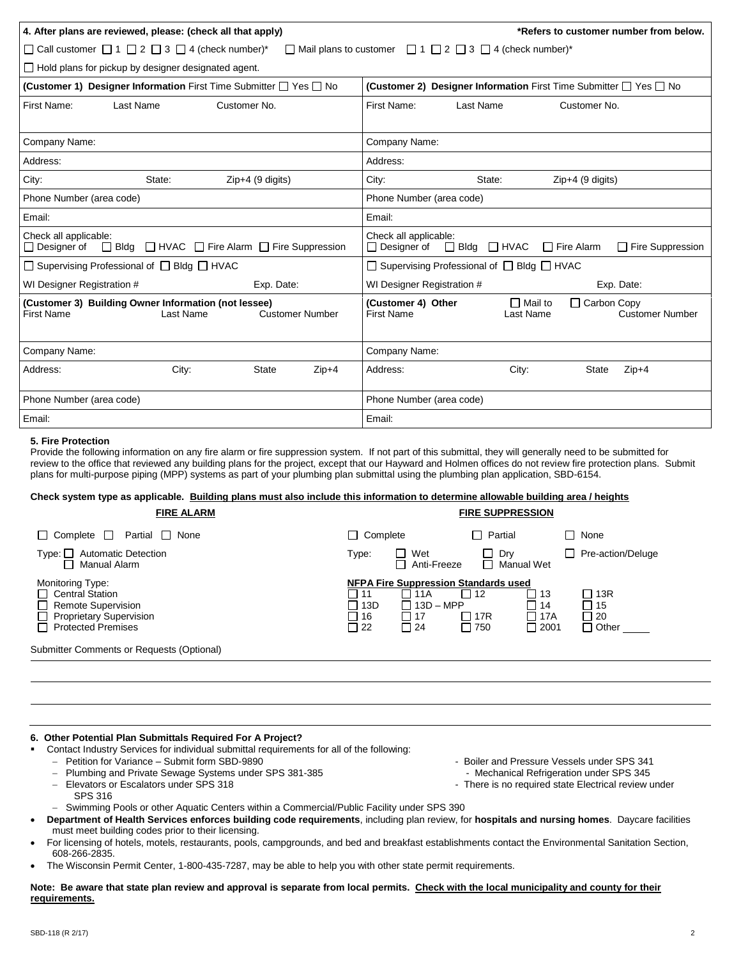| 4. After plans are reviewed, please: (check all that apply)<br>*Refers to customer number from below.                                   |                                                                                                                   |  |  |  |  |
|-----------------------------------------------------------------------------------------------------------------------------------------|-------------------------------------------------------------------------------------------------------------------|--|--|--|--|
| □ Call customer □ 1 □ 2 □ 3 □ 4 (check number)*<br>$\Box$ Mail plans to customer<br>$\Box$ 1 $\Box$ 2 $\Box$ 3 $\Box$ 4 (check number)* |                                                                                                                   |  |  |  |  |
| $\Box$ Hold plans for pickup by designer designated agent.                                                                              |                                                                                                                   |  |  |  |  |
| (Customer 1) Designer Information First Time Submitter □ Yes □ No                                                                       | (Customer 2) Designer Information First Time Submitter □ Yes □ No                                                 |  |  |  |  |
| First Name:<br>Last Name<br>Customer No.                                                                                                | First Name:<br>Last Name<br>Customer No.                                                                          |  |  |  |  |
| Company Name:                                                                                                                           | Company Name:                                                                                                     |  |  |  |  |
| Address:                                                                                                                                | Address:                                                                                                          |  |  |  |  |
| City:<br>State:<br>$Zip+4$ (9 digits)                                                                                                   | City:<br>State:<br>$Zip+4$ (9 digits)                                                                             |  |  |  |  |
| Phone Number (area code)                                                                                                                | Phone Number (area code)                                                                                          |  |  |  |  |
| Email:                                                                                                                                  | Email:                                                                                                            |  |  |  |  |
| Check all applicable:<br>$\Box$ Bldg $\Box$ HVAC $\Box$ Fire Alarm $\Box$ Fire Suppression<br>$\Box$ Designer of                        | Check all applicable:<br>$\Box$ Designer of<br>$\Box$ Bldg $\Box$ HVAC<br>$\Box$ Fire Alarm<br>Fire Suppression   |  |  |  |  |
| $\Box$ Supervising Professional of $\Box$ Bldg $\Box$ HVAC                                                                              | $\Box$ Supervising Professional of $\Box$ Bldg $\Box$ HVAC                                                        |  |  |  |  |
| WI Designer Registration #<br>Exp. Date:                                                                                                | WI Designer Registration #<br>Exp. Date:                                                                          |  |  |  |  |
| (Customer 3) Building Owner Information (not lessee)<br><b>First Name</b><br>Last Name<br><b>Customer Number</b>                        | $\Box$ Mail to<br>□ Carbon Copy<br>(Customer 4) Other<br><b>First Name</b><br>Last Name<br><b>Customer Number</b> |  |  |  |  |
| Company Name:                                                                                                                           | Company Name:                                                                                                     |  |  |  |  |
| Address:<br>City:<br>State<br>$Zip+4$                                                                                                   | Address:<br>City:<br>$Zip+4$<br><b>State</b>                                                                      |  |  |  |  |
| Phone Number (area code)                                                                                                                | Phone Number (area code)                                                                                          |  |  |  |  |
| Email:                                                                                                                                  | Email:                                                                                                            |  |  |  |  |

### **5. Fire Protection**

Provide the following information on any fire alarm or fire suppression system. If not part of this submittal, they will generally need to be submitted for review to the office that reviewed any building plans for the project, except that our Hayward and Holmen offices do not review fire protection plans. Submit plans for multi-purpose piping (MPP) systems as part of your plumbing plan submittal using the plumbing plan application, SBD-6154.

## **Check system type as applicable. Building plans must also include this information to determine allowable building area / heights**

| <b>FIRE ALARM</b>                                                                                                                      |                                                                                                                                            | <b>FIRE SUPPRESSION</b>                                                               |                                               |
|----------------------------------------------------------------------------------------------------------------------------------------|--------------------------------------------------------------------------------------------------------------------------------------------|---------------------------------------------------------------------------------------|-----------------------------------------------|
| Complete $\Box$<br>Partial □ None                                                                                                      | $\Box$ Complete                                                                                                                            | Partial<br>$\blacksquare$                                                             | None                                          |
| <b>Automatic Detection</b><br>Type:    <br>Manual Alarm                                                                                | П Wet<br>Type:<br>Anti-Freeze                                                                                                              | Dry<br>$\Box$ Manual Wet                                                              | Pre-action/Deluge                             |
| Monitoring Type:<br><b>Central Station</b><br><b>Remote Supervision</b><br><b>Proprietary Supervision</b><br><b>Protected Premises</b> | <b>NFPA Fire Suppression Standards used</b><br>П<br>11A<br>-11<br>$\Box$ 13D<br>$13D - MPP$<br>П<br>$\Box$ 17<br>□ 16<br>$\Box$ 24<br>□ 22 | □ 12<br>$\Box$<br>13<br>$\Box$ 14<br>$\Box$ 17A<br>□ 17R<br>$\Box$ 2001<br>$\Box$ 750 | 13R<br>$\Box$ 15<br>$\Box$ 20<br>$\Box$ Other |
| Submitter Comments or Requests (Optional)                                                                                              |                                                                                                                                            |                                                                                       |                                               |

#### **6. Other Potential Plan Submittals Required For A Project?**

- Contact Industry Services for individual submittal requirements for all of the following:
- 
- Petition for Variance Submit form SBD-9890 Boiler and Pressure Vessels under SPS 341<br>Plumbing and Private Sewage Systems under SPS 381-385 Mechanical Refrigeration under SPS 345 Plumbing and Private Sewage Systems under SPS 381-385<br>Elevators or Escalators under SPS 318
- - SPS 316
- 
- 
- Elevators or Escalators under SPS 318 There is no required state Electrical review under
- Swimming Pools or other Aquatic Centers within a Commercial/Public Facility under SPS 390
- **Department of Health Services enforces building code requirements**, including plan review, for **hospitals and nursing homes**. Daycare facilities must meet building codes prior to their licensing.
- For licensing of hotels, motels, restaurants, pools, campgrounds, and bed and breakfast establishments contact the Environmental Sanitation Section, 608-266-2835.
- The Wisconsin Permit Center, 1-800-435-7287, may be able to help you with other state permit requirements.

**Note: Be aware that state plan review and approval is separate from local permits. Check with the local municipality and county for their requirements.**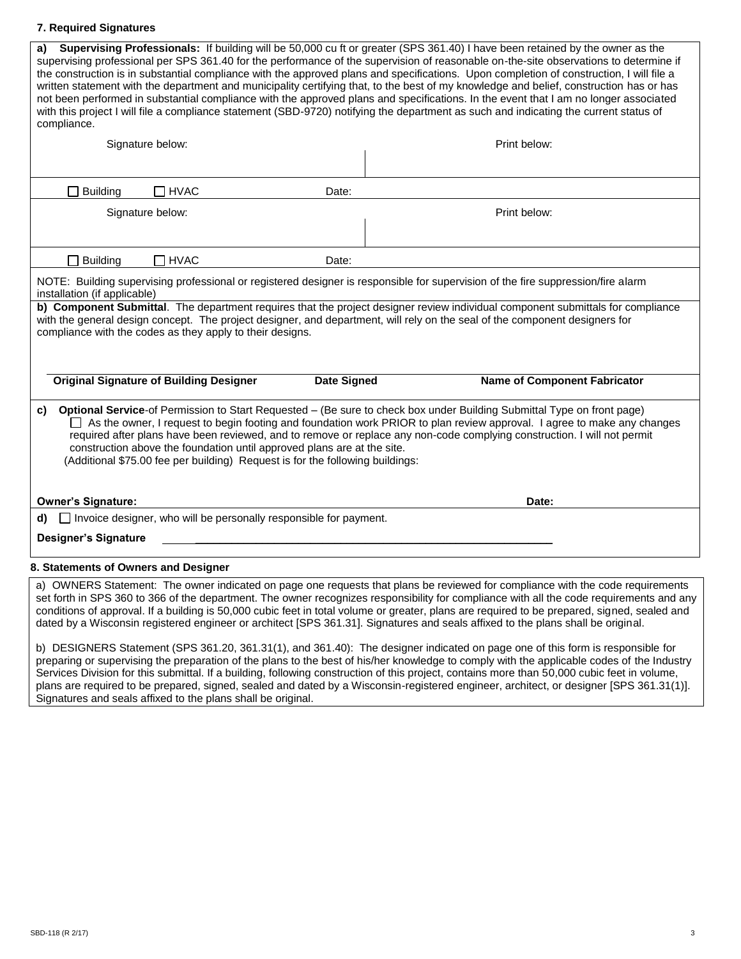## **7. Required Signatures**

| a)<br>compliance.                    |                                                                                                                                                          |                    | Supervising Professionals: If building will be 50,000 cu ft or greater (SPS 361.40) I have been retained by the owner as the<br>supervising professional per SPS 361.40 for the performance of the supervision of reasonable on-the-site observations to determine if<br>the construction is in substantial compliance with the approved plans and specifications. Upon completion of construction, I will file a<br>written statement with the department and municipality certifying that, to the best of my knowledge and belief, construction has or has<br>not been performed in substantial compliance with the approved plans and specifications. In the event that I am no longer associated<br>with this project I will file a compliance statement (SBD-9720) notifying the department as such and indicating the current status of |
|--------------------------------------|----------------------------------------------------------------------------------------------------------------------------------------------------------|--------------------|-----------------------------------------------------------------------------------------------------------------------------------------------------------------------------------------------------------------------------------------------------------------------------------------------------------------------------------------------------------------------------------------------------------------------------------------------------------------------------------------------------------------------------------------------------------------------------------------------------------------------------------------------------------------------------------------------------------------------------------------------------------------------------------------------------------------------------------------------|
|                                      | Signature below:                                                                                                                                         |                    | Print below:                                                                                                                                                                                                                                                                                                                                                                                                                                                                                                                                                                                                                                                                                                                                                                                                                                  |
|                                      |                                                                                                                                                          |                    |                                                                                                                                                                                                                                                                                                                                                                                                                                                                                                                                                                                                                                                                                                                                                                                                                                               |
| <b>Building</b>                      | $\Box$ HVAC                                                                                                                                              | Date:              |                                                                                                                                                                                                                                                                                                                                                                                                                                                                                                                                                                                                                                                                                                                                                                                                                                               |
|                                      |                                                                                                                                                          |                    |                                                                                                                                                                                                                                                                                                                                                                                                                                                                                                                                                                                                                                                                                                                                                                                                                                               |
|                                      | Signature below:                                                                                                                                         |                    | Print below:                                                                                                                                                                                                                                                                                                                                                                                                                                                                                                                                                                                                                                                                                                                                                                                                                                  |
|                                      |                                                                                                                                                          |                    |                                                                                                                                                                                                                                                                                                                                                                                                                                                                                                                                                                                                                                                                                                                                                                                                                                               |
| <b>Building</b>                      | $\Box$ HVAC                                                                                                                                              | Date:              |                                                                                                                                                                                                                                                                                                                                                                                                                                                                                                                                                                                                                                                                                                                                                                                                                                               |
| installation (if applicable)         |                                                                                                                                                          |                    | NOTE: Building supervising professional or registered designer is responsible for supervision of the fire suppression/fire alarm                                                                                                                                                                                                                                                                                                                                                                                                                                                                                                                                                                                                                                                                                                              |
|                                      |                                                                                                                                                          |                    | b) Component Submittal. The department requires that the project designer review individual component submittals for compliance<br>with the general design concept. The project designer, and department, will rely on the seal of the component designers for                                                                                                                                                                                                                                                                                                                                                                                                                                                                                                                                                                                |
|                                      | compliance with the codes as they apply to their designs.                                                                                                |                    |                                                                                                                                                                                                                                                                                                                                                                                                                                                                                                                                                                                                                                                                                                                                                                                                                                               |
|                                      |                                                                                                                                                          |                    |                                                                                                                                                                                                                                                                                                                                                                                                                                                                                                                                                                                                                                                                                                                                                                                                                                               |
|                                      |                                                                                                                                                          |                    |                                                                                                                                                                                                                                                                                                                                                                                                                                                                                                                                                                                                                                                                                                                                                                                                                                               |
|                                      | <b>Original Signature of Building Designer</b>                                                                                                           | <b>Date Signed</b> | <b>Name of Component Fabricator</b>                                                                                                                                                                                                                                                                                                                                                                                                                                                                                                                                                                                                                                                                                                                                                                                                           |
| C)                                   | construction above the foundation until approved plans are at the site.<br>(Additional \$75.00 fee per building) Request is for the following buildings: |                    | Optional Service-of Permission to Start Requested - (Be sure to check box under Building Submittal Type on front page)<br>$\Box$ As the owner, I request to begin footing and foundation work PRIOR to plan review approval. I agree to make any changes<br>required after plans have been reviewed, and to remove or replace any non-code complying construction. I will not permit                                                                                                                                                                                                                                                                                                                                                                                                                                                          |
| <b>Owner's Signature:</b>            |                                                                                                                                                          |                    | Date:                                                                                                                                                                                                                                                                                                                                                                                                                                                                                                                                                                                                                                                                                                                                                                                                                                         |
| d).                                  | $\Box$ Invoice designer, who will be personally responsible for payment.                                                                                 |                    |                                                                                                                                                                                                                                                                                                                                                                                                                                                                                                                                                                                                                                                                                                                                                                                                                                               |
| <b>Designer's Signature</b>          |                                                                                                                                                          |                    |                                                                                                                                                                                                                                                                                                                                                                                                                                                                                                                                                                                                                                                                                                                                                                                                                                               |
| 8. Statements of Owners and Designer |                                                                                                                                                          |                    |                                                                                                                                                                                                                                                                                                                                                                                                                                                                                                                                                                                                                                                                                                                                                                                                                                               |
|                                      |                                                                                                                                                          |                    | a) OWNERS Statement: The owner indicated on page and requests that plane be reviewed for compliance with the eade requirements                                                                                                                                                                                                                                                                                                                                                                                                                                                                                                                                                                                                                                                                                                                |

a) OWNERS Statement: The owner indicated on page one requests that plans be reviewed for compliance with the code requirements set forth in SPS 360 to 366 of the department. The owner recognizes responsibility for compliance with all the code requirements and any conditions of approval. If a building is 50,000 cubic feet in total volume or greater, plans are required to be prepared, signed, sealed and dated by a Wisconsin registered engineer or architect [SPS 361.31]. Signatures and seals affixed to the plans shall be original.

b) DESIGNERS Statement (SPS 361.20, 361.31(1), and 361.40): The designer indicated on page one of this form is responsible for preparing or supervising the preparation of the plans to the best of his/her knowledge to comply with the applicable codes of the Industry Services Division for this submittal. If a building, following construction of this project, contains more than 50,000 cubic feet in volume, plans are required to be prepared, signed, sealed and dated by a Wisconsin-registered engineer, architect, or designer [SPS 361.31(1)]. Signatures and seals affixed to the plans shall be original.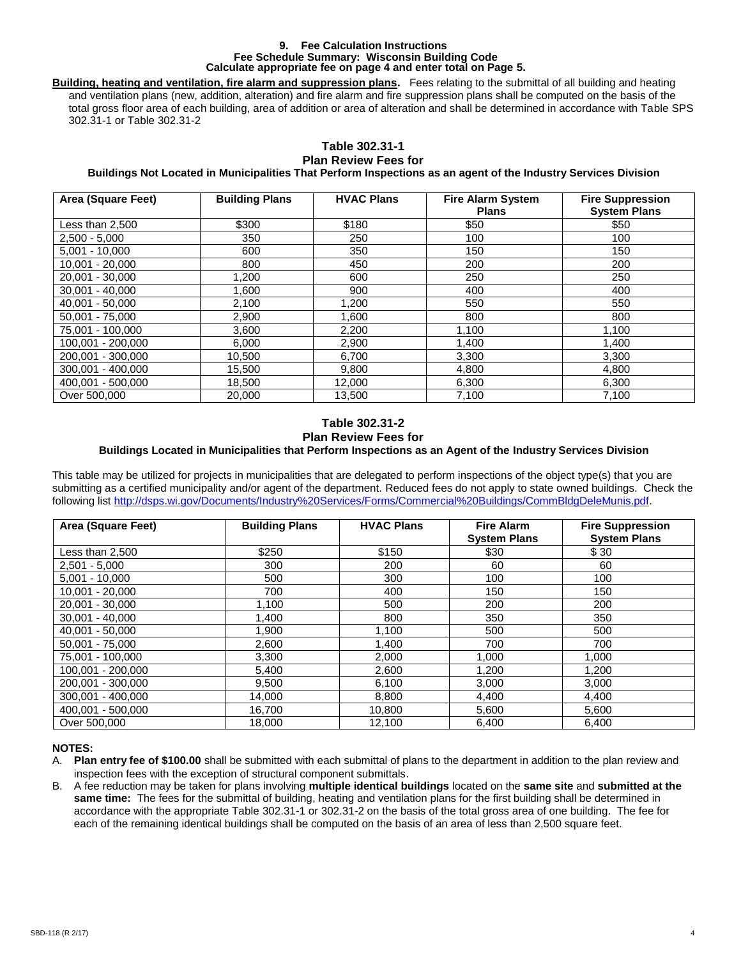#### **9. Fee Calculation Instructions Fee Schedule Summary: Wisconsin Building Code Calculate appropriate fee on page 4 and enter total on Page 5.**

**Building, heating and ventilation, fire alarm and suppression plans.** Fees relating to the submittal of all building and heating and ventilation plans (new, addition, alteration) and fire alarm and fire suppression plans shall be computed on the basis of the total gross floor area of each building, area of addition or area of alteration and shall be determined in accordance with Table SPS 302.31-1 or Table 302.31-2

### **Table 302.31-1 Plan Review Fees for**

## **Buildings Not Located in Municipalities That Perform Inspections as an agent of the Industry Services Division**

| Area (Square Feet) | <b>Building Plans</b> | <b>HVAC Plans</b> | <b>Fire Alarm System</b><br><b>Plans</b> | <b>Fire Suppression</b><br><b>System Plans</b> |
|--------------------|-----------------------|-------------------|------------------------------------------|------------------------------------------------|
| Less than 2,500    | \$300                 | \$180             | \$50                                     | \$50                                           |
| $2,500 - 5,000$    | 350                   | 250               | 100                                      | 100                                            |
| $5,001 - 10,000$   | 600                   | 350               | 150                                      | 150                                            |
| $10,001 - 20,000$  | 800                   | 450               | 200                                      | 200                                            |
| 20,001 - 30,000    | 1,200                 | 600               | 250                                      | 250                                            |
| $30.001 - 40.000$  | 1,600                 | 900               | 400                                      | 400                                            |
| 40,001 - 50,000    | 2,100                 | 1.200             | 550                                      | 550                                            |
| $50.001 - 75.000$  | 2,900                 | 1,600             | 800                                      | 800                                            |
| 75,001 - 100,000   | 3,600                 | 2,200             | 1,100                                    | 1,100                                          |
| 100,001 - 200,000  | 6.000                 | 2.900             | 1.400                                    | 1,400                                          |
| 200.001 - 300.000  | 10,500                | 6,700             | 3,300                                    | 3,300                                          |
| 300.001 - 400.000  | 15,500                | 9,800             | 4,800                                    | 4,800                                          |
| 400,001 - 500,000  | 18,500                | 12,000            | 6,300                                    | 6,300                                          |
| Over 500,000       | 20,000                | 13,500            | 7,100                                    | 7,100                                          |

### **Table 302.31-2 Plan Review Fees for Buildings Located in Municipalities that Perform Inspections as an Agent of the Industry Services Division**

This table may be utilized for projects in municipalities that are delegated to perform inspections of the object type(s) that you are submitting as a certified municipality and/or agent of the department. Reduced fees do not apply to state owned buildings. Check the following list [http://dsps.wi.gov/Documents/Industry%20Services/Forms/Commercial%20Buildings/CommBldgDeleMunis.pdf.](http://dsps.wi.gov/Documents/Industry%20Services/Forms/Commercial%20Buildings/CommBldgDeleMunis.pdf)

| Area (Square Feet) | <b>Building Plans</b> | <b>HVAC Plans</b> | <b>Fire Alarm</b>   | <b>Fire Suppression</b> |
|--------------------|-----------------------|-------------------|---------------------|-------------------------|
|                    |                       |                   | <b>System Plans</b> | <b>System Plans</b>     |
| Less than 2,500    | \$250                 | \$150             | \$30                | \$ 30                   |
| $2,501 - 5,000$    | 300                   | 200               | 60                  | 60                      |
| $5,001 - 10,000$   | 500                   | 300               | 100                 | 100                     |
| $10,001 - 20,000$  | 700                   | 400               | 150                 | 150                     |
| 20,001 - 30,000    | 1,100                 | 500               | 200                 | 200                     |
| $30.001 - 40.000$  | 1,400                 | 800               | 350                 | 350                     |
| 40,001 - 50,000    | 1,900                 | 1,100             | 500                 | 500                     |
| $50,001 - 75,000$  | 2,600                 | 1,400             | 700                 | 700                     |
| 75,001 - 100,000   | 3,300                 | 2,000             | 1,000               | 1.000                   |
| 100.001 - 200.000  | 5,400                 | 2,600             | 1,200               | 1,200                   |
| 200,001 - 300,000  | 9,500                 | 6,100             | 3,000               | 3,000                   |
| 300.001 - 400.000  | 14,000                | 8,800             | 4,400               | 4,400                   |
| 400,001 - 500,000  | 16,700                | 10,800            | 5,600               | 5,600                   |
| Over 500,000       | 18.000                | 12.100            | 6,400               | 6.400                   |

## **NOTES:**

- A. **Plan entry fee of \$100.00** shall be submitted with each submittal of plans to the department in addition to the plan review and inspection fees with the exception of structural component submittals.
- B. A fee reduction may be taken for plans involving **multiple identical buildings** located on the **same site** and **submitted at the same time:** The fees for the submittal of building, heating and ventilation plans for the first building shall be determined in accordance with the appropriate Table 302.31-1 or 302.31-2 on the basis of the total gross area of one building. The fee for each of the remaining identical buildings shall be computed on the basis of an area of less than 2,500 square feet.